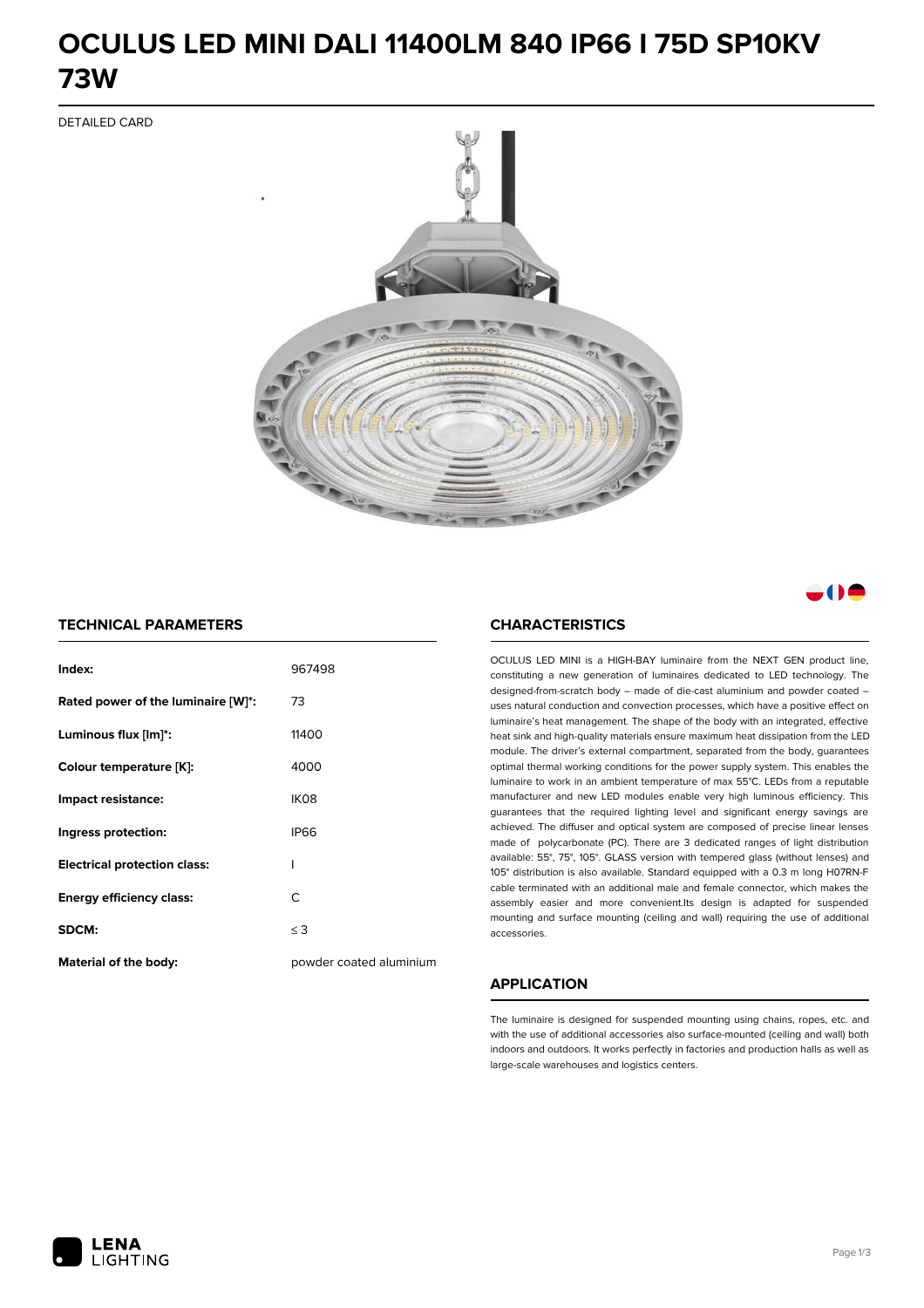### **OCULUS LED MINI DALI 11400LM 840 IP66 I 75D SP10KV 73W**

DETAILED CARD



a M

### **TECHNICAL PARAMETERS**

| Index:                              | 967498                  |
|-------------------------------------|-------------------------|
| Rated power of the luminaire [W]*:  | 73                      |
| Luminous flux [lm]*:                | 11400                   |
| Colour temperature [K]:             | 4000                    |
| Impact resistance:                  | IK08                    |
| Ingress protection:                 | <b>IP66</b>             |
| <b>Electrical protection class:</b> | ı                       |
| <b>Energy efficiency class:</b>     | C                       |
| <b>SDCM:</b>                        | $\leq$ 3                |
| <b>Material of the body:</b>        | powder coated aluminium |

#### **CHARACTERISTICS**

OCULUS LED MINI is a HIGH-BAY luminaire from the NEXT GEN product line, constituting a new generation of luminaires dedicated to LED technology. The designed-from-scratch body – made of die-cast aluminium and powder coated – uses natural conduction and convection processes, which have a positive effect on luminaire's heat management. The shape of the body with an integrated, effective heat sink and high-quality materials ensure maximum heat dissipation from the LED module. The driver's external compartment, separated from the body, guarantees optimal thermal working conditions for the power supply system. This enables the luminaire to work in an ambient temperature of max 55°C. LEDs from a reputable manufacturer and new LED modules enable very high luminous efficiency. This guarantees that the required lighting level and significant energy savings are achieved. The diffuser and optical system are composed of precise linear lenses made of polycarbonate (PC). There are 3 dedicated ranges of light distribution available: 55°, 75°, 105°. GLASS version with tempered glass (without lenses) and 105° distribution is also available. Standard equipped with a 0.3 m long H07RN-F cable terminated with an additional male and female connector, which makes the assembly easier and more convenient.Its design is adapted for suspended mounting and surface mounting (ceiling and wall) requiring the use of additional accessories.

### **APPLICATION**

The luminaire is designed for suspended mounting using chains, ropes, etc. and with the use of additional accessories also surface-mounted (ceiling and wall) both indoors and outdoors. It works perfectly in factories and production halls as well as large-scale warehouses and logistics centers.

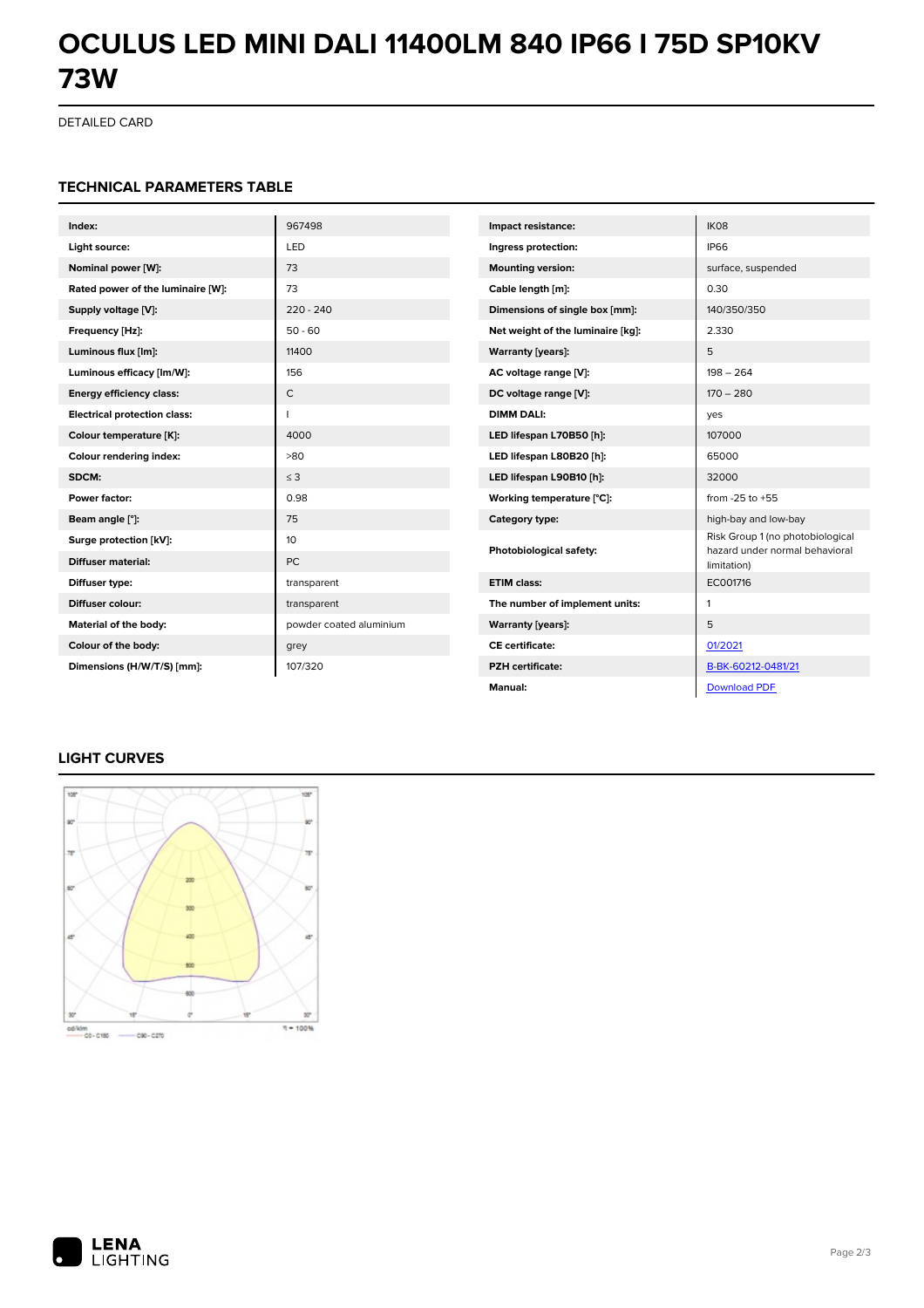# **OCULUS LED MINI DALI 11400LM 840 IP66 I 75D SP10KV 73W**

DETAILED CARD

### **TECHNICAL PARAMETERS TABLE**

| Index:                              | 967498                  | Impact resistance:                | IK08                                                               |
|-------------------------------------|-------------------------|-----------------------------------|--------------------------------------------------------------------|
| Light source:                       | LED                     | Ingress protection:               | <b>IP66</b>                                                        |
| Nominal power [W]:                  | 73                      | <b>Mounting version:</b>          | surface, suspended                                                 |
| Rated power of the luminaire [W]:   | 73                      | Cable length [m]:                 | 0.30                                                               |
| Supply voltage [V]:                 | $220 - 240$             | Dimensions of single box [mm]:    | 140/350/350                                                        |
| Frequency [Hz]:                     | $50 - 60$               | Net weight of the luminaire [kg]: | 2.330                                                              |
| Luminous flux [lm]:                 | 11400                   | <b>Warranty [years]:</b>          | 5                                                                  |
| Luminous efficacy [lm/W]:           | 156                     | AC voltage range [V]:             | $198 - 264$                                                        |
| <b>Energy efficiency class:</b>     | $\mathsf{C}$            | DC voltage range [V]:             | $170 - 280$                                                        |
| <b>Electrical protection class:</b> | П                       | <b>DIMM DALI:</b>                 | yes                                                                |
| Colour temperature [K]:             | 4000                    | LED lifespan L70B50 [h]:          | 107000                                                             |
| Colour rendering index:             | >80                     | LED lifespan L80B20 [h]:          | 65000                                                              |
| SDCM:                               | $\leq$ 3                | LED lifespan L90B10 [h]:          | 32000                                                              |
| Power factor:                       | 0.98                    | Working temperature [°C]:         | from $-25$ to $+55$                                                |
| Beam angle [°]:                     | 75                      | Category type:                    | high-bay and low-bay                                               |
| Surge protection [kV]:              | 10                      | Photobiological safety:           | Risk Group 1 (no photobiological<br>hazard under normal behavioral |
| <b>Diffuser material:</b>           | <b>PC</b>               |                                   | limitation)                                                        |
| Diffuser type:                      | transparent             | <b>ETIM class:</b>                | EC001716                                                           |
| Diffuser colour:                    | transparent             | The number of implement units:    | 1                                                                  |
| Material of the body:               | powder coated aluminium | <b>Warranty [years]:</b>          | 5                                                                  |
| Colour of the body:                 | grey                    | <b>CE</b> certificate:            | 01/2021                                                            |
| Dimensions (H/W/T/S) [mm]:          | 107/320                 | <b>PZH</b> certificate:           | B-BK-60212-0481/21                                                 |
|                                     |                         | Manual:                           | <b>Download PDF</b>                                                |

### **LIGHT CURVES**